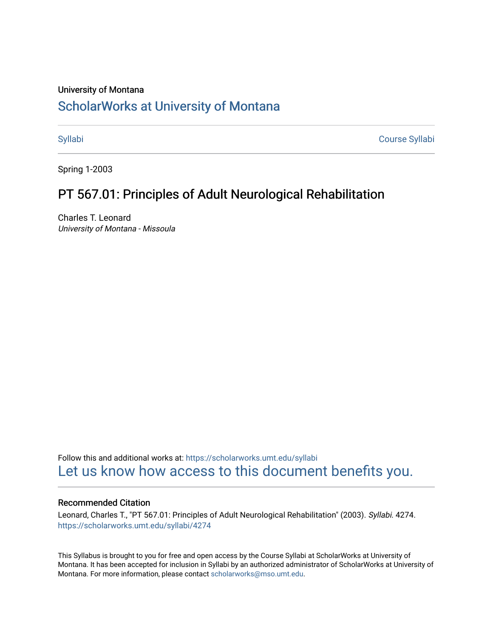## University of Montana

# [ScholarWorks at University of Montana](https://scholarworks.umt.edu/)

[Syllabi](https://scholarworks.umt.edu/syllabi) [Course Syllabi](https://scholarworks.umt.edu/course_syllabi) 

Spring 1-2003

# PT 567.01: Principles of Adult Neurological Rehabilitation

Charles T. Leonard University of Montana - Missoula

Follow this and additional works at: [https://scholarworks.umt.edu/syllabi](https://scholarworks.umt.edu/syllabi?utm_source=scholarworks.umt.edu%2Fsyllabi%2F4274&utm_medium=PDF&utm_campaign=PDFCoverPages)  [Let us know how access to this document benefits you.](https://goo.gl/forms/s2rGfXOLzz71qgsB2) 

### Recommended Citation

Leonard, Charles T., "PT 567.01: Principles of Adult Neurological Rehabilitation" (2003). Syllabi. 4274. [https://scholarworks.umt.edu/syllabi/4274](https://scholarworks.umt.edu/syllabi/4274?utm_source=scholarworks.umt.edu%2Fsyllabi%2F4274&utm_medium=PDF&utm_campaign=PDFCoverPages)

This Syllabus is brought to you for free and open access by the Course Syllabi at ScholarWorks at University of Montana. It has been accepted for inclusion in Syllabi by an authorized administrator of ScholarWorks at University of Montana. For more information, please contact [scholarworks@mso.umt.edu.](mailto:scholarworks@mso.umt.edu)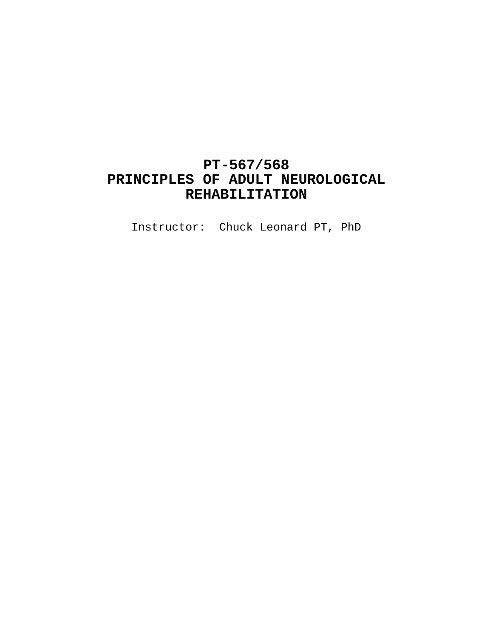# **PT-567/568 PRINCIPLES OF ADULT NEUROLOGICAL REHABILITATION**

Instructor: Chuck Leonard PT, PhD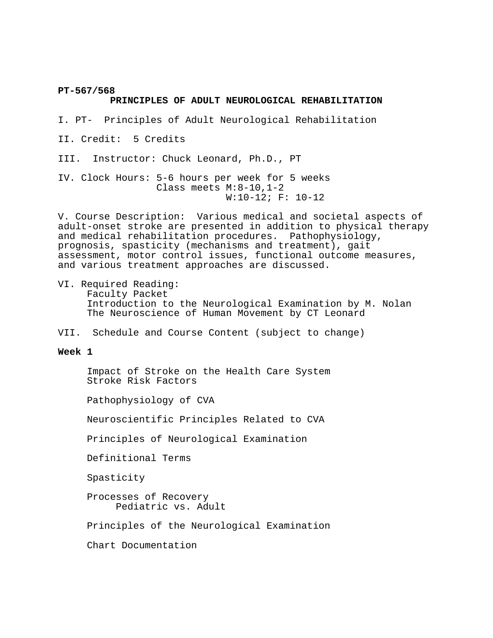**PT-567/568**

#### **PRINCIPLES OF ADULT NEUROLOGICAL REHABILITATION**

I. PT- Principles of Adult Neurological Rehabilitation

II. Credit: 5 Credits

III. Instructor: Chuck Leonard, Ph.D., PT

IV. Clock Hours: 5-6 hours per week for 5 weeks Class meets M:8-10,1-2 W:10-12; F: 10-12

V. Course Description: Various medical and societal aspects of adult-onset stroke are presented in addition to physical therapy and medical rehabilitation procedures. Pathophysiology, prognosis, spasticity (mechanisms and treatment), gait assessment, motor control issues, functional outcome measures, and various treatment approaches are discussed.

VI. Required Reading: Faculty Packet Introduction to the Neurological Examination by M. Nolan The Neuroscience of Human Movement by CT Leonard

VII. Schedule and Course Content (subject to change)

**Week 1**

 Impact of Stroke on the Health Care System Stroke Risk Factors

Pathophysiology of CVA

Neuroscientific Principles Related to CVA

Principles of Neurological Examination

Definitional Terms

Spasticity

 Processes of Recovery Pediatric vs. Adult

Principles of the Neurological Examination

Chart Documentation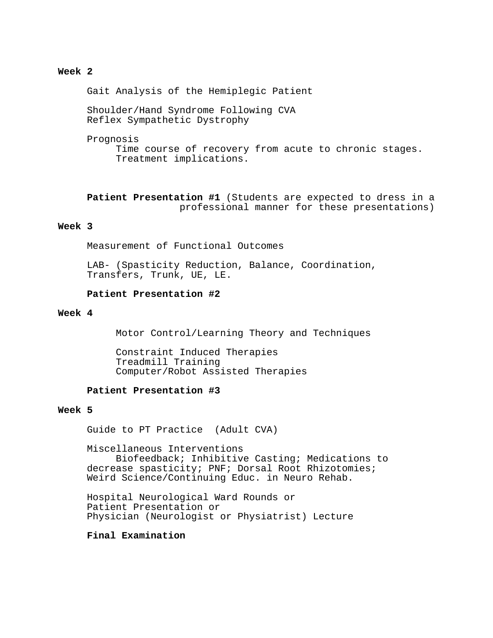### **Week 2**

Gait Analysis of the Hemiplegic Patient

 Shoulder/Hand Syndrome Following CVA Reflex Sympathetic Dystrophy

Prognosis

 Time course of recovery from acute to chronic stages. Treatment implications.

 **Patient Presentation #1** (Students are expected to dress in a professional manner for these presentations)

#### **Week 3**

Measurement of Functional Outcomes

 LAB- (Spasticity Reduction, Balance, Coordination, Transfers, Trunk, UE, LE.

### **Patient Presentation #2**

#### **Week 4**

Motor Control/Learning Theory and Techniques

 Constraint Induced Therapies Treadmill Training Computer/Robot Assisted Therapies

#### **Patient Presentation #3**

#### **Week 5**

Guide to PT Practice (Adult CVA)

 Miscellaneous Interventions Biofeedback; Inhibitive Casting; Medications to decrease spasticity; PNF; Dorsal Root Rhizotomies; Weird Science/Continuing Educ. in Neuro Rehab.

 Hospital Neurological Ward Rounds or Patient Presentation or Physician (Neurologist or Physiatrist) Lecture

#### **Final Examination**